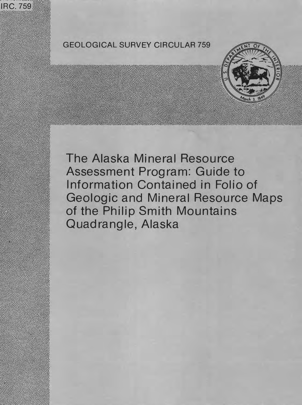

# GEOLOGICAL SURVEY CIRCULAR 759



The Alaska Mineral Resource Assessment Program: Guide to Information Contained in Folio of Geologic and Mineral Resource Maps of the Philip Smith Mountains Quadrangle, Alaska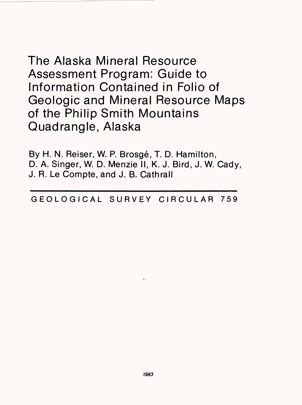The Alaska Mineral Resource Assessment Program: Guide to Information Contained in Folio of Geologic and Mineral Resource Maps of the Philip Smith Mountains Quadrangle, Alaska

By H. N. Reiser, W. P. Brosge, T. D. Hamilton, D. A. Singer, W. D. Menzie II, K. J. Bird, J. W. Cady, J. R. Le Compte, and J. B. Cathrall

GEOLOGICAL SURVEY CIRCULAR 759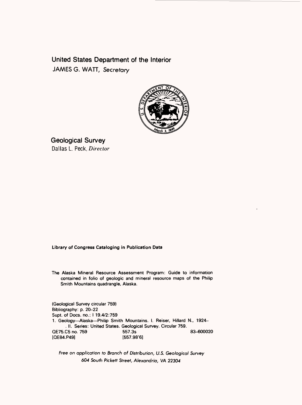**United States Department of the Interior**  JAMES G. WATT, Secretary



Geological Survey Dallas L. Peck, Director

# Library of Congress Cataloging in Publication Data

The Alaska Mineral Resource Assessment Program: Guide to information contained in folio of geologic and mineral resource maps of the Philip Smith Mountains quadrangle. Alaska.

(Geological Survey circular 759) Bibliography: p. 20-22 Supt. of Docs, no.: I 19.4/2:759 1. Geology--Alaska--Philip Smith Mountains. I. Reiser, Hillard N., 1924-. II. Series: United States. Geological Survey. Circular 759. QE75.C5 no. 759 557.3s 83-600020  $[OE84.P49]$ 

Free on application to Branch of Distribution, U.S. Geological Survey 604 South Pickett Street, Alexandria, VA 22304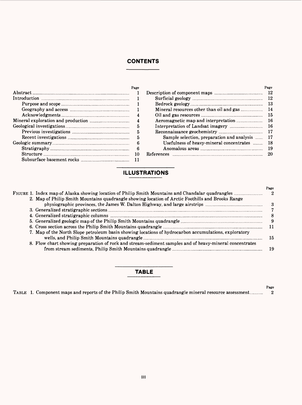# **CONTENTS**

| Page |                                                | Page |
|------|------------------------------------------------|------|
|      |                                                |      |
|      |                                                |      |
|      |                                                |      |
|      |                                                |      |
| 4    |                                                |      |
|      |                                                |      |
| 5    |                                                |      |
| 5    |                                                |      |
|      | Sample selection, preparation and analysis  17 |      |
| 6    | Usefulness of heavy-mineral concentrates  18   |      |
| - 6  |                                                |      |
| 10   |                                                | -20  |
|      |                                                |      |

# **ILLUSTRATIONS**

|  |                                                                                                         | Page         |
|--|---------------------------------------------------------------------------------------------------------|--------------|
|  |                                                                                                         | $^{\circ}$ 2 |
|  | 2. Map of Philip Smith Mountains quadrangle showing location of Arctic Foothills and Brooks Range       |              |
|  |                                                                                                         | -3           |
|  |                                                                                                         |              |
|  |                                                                                                         |              |
|  |                                                                                                         | - 9          |
|  |                                                                                                         |              |
|  | 7. Map of the North Slope petroleum basin showing locations of hydrocarbon accumulations, exploratory   | 15           |
|  | 8. Flow chart showing preparation of rock and stream-sediment samples and of heavy-mineral concentrates | - 19         |
|  |                                                                                                         |              |

# **TABLE**

|  |  |  | TABLE 1. Component maps and reports of the Philip Smith Mountains quadrangle mineral resource assessment | - 4 |
|--|--|--|----------------------------------------------------------------------------------------------------------|-----|
|--|--|--|----------------------------------------------------------------------------------------------------------|-----|

**Page**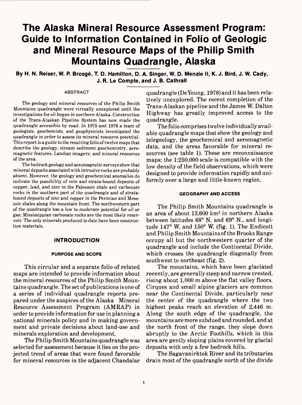# **The Alaska Mineral Resource Assessment Program: Guide to Information Contained in Folio of Geologic and Mineral Resource Maps of the Philip Smith Mountains Quadrangle, Alaska**

**By H. N. Reiser, W. P. Brosge, T. D. Hamilton, D. A. Singer, W. D. Menzie II, K. J. Bird, J. W. Cady, J. R. Le Compte, and J. B. Cathrall**

#### **ABSTRACT**

The geology and mineral resources of the Philip Smith Mountains quadrangle were virtually unexplored until the investigations for oil began in northern Alaska. Construction of the Trans-Alaskan Pipeline System has now made the quadrangle accessible by road. In 1975 and 1976 a team of geologists, geochemists, and geophysicists investigated the quadrangle in order to assess its mineral resource potential. This report is aguide to the resulting folio of twelve maps that describe the geology, stream sediment geochemistry, aeromagnetic features, Landsat imagery, and mineral resources of the area.

The bedrock geology and aeromagnetic surveys show that mineral deposits associated with intrusive rocks are probably absent. However, the geology and geochemical anomalies do indicate the possibility of vein and strata-bound deposits of copper, lead, and zinc in the Paleozoic shale and carbonate rocks in the southern part of the quadrangle and of stratabound deposits of zinc and copper in the Permian and Mesozoic shales along the mountain front. The northwestern part of the quadrangle has a low to moderate potential for oil or gas; Mississippian carbonate rocks are the most likely reservoir. The only minerals produced to date have been construction materials.

## **INTRODUCTION**

#### **PURPOSE AND SCOPE**

This circular and a separate folio of related maps are intended to provide information about the mineral resources of the Philip Smith Mountains quadrangle. The set of publications is one of a series of individual quadrangle reports prepared under the auspices of the Alaska Mineral Resource Assessment Program (AMRAP) in order to provide information for use in planning a national minerals policy and in making government and private decisions about land-use and minerals exploration and development.

The Philip Smith Mountains quadrangle was selected for assessment because it lies on the projected trend of areas that were found favorable for mineral resources in the adjacent Chandalar quadrangle (De Young, 1978) and it has been relatively unexplored. The recent completion of the Trans-Alaskan pipeline and the James W. Dalton Highway has greatly improved access to the quadrangle.

The folio comprises twelve individually available quadrangle maps that show the geology and telegeology, the geochemical and aeromagnetic data, and the areas favorable for mineral resources (see table 1). These are reconnaissance maps; the 1:250,000 scale is compatible with the low density of the field observations, which were designed to provide information rapidly and uniformly over a large and little-known region.

#### **GEOGRAPHY AND ACCESS**

The Philip Smith Mountains quadrangle is an area of about 13,600 km2 in northern Alaska between latitudes 68° N. and 69° N., and longitude 147° W. and 150° W. (fig. 1). The Endicott and Philip Smith Mountains of the Brooks Range occupy all but the northwestern quarter of the quadrangle and include the Continental Divide, which crosses the quadrangle diagonally from southwest to northeast (fig. 2).

The mountains, which have been glaciated recently, are generally steep and narrow crested, rising about 1,000 m above the flat valley floors. Cirques and small alpine glaciers are common near the Continental Divide, particularly near the center of the quadrangle where the two highest peaks reach an elevation of 2,446 m. Along the south edge of the quadrangle, the mountains are more subdued and rounded, and at the north front of the range, they slope down abruptly to the Arctic Foothills, which in this area are gently sloping plains covered by glacial deposits with only a few bedrock hills.

The Sagavanirktok River and its tributaries drain most of the quadrangle north of the divide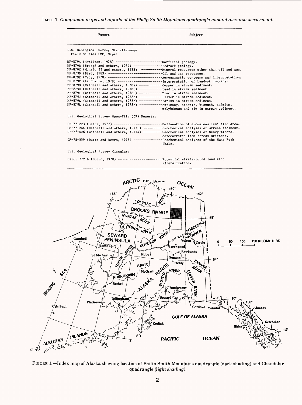TABLE 1. Component maps and reports of the Philip Smith Mountains quadrangle mineral resource assessment.

| Report                                                                                                                                                                                                                                                                                                                                                                                                                                                                                                                                                  | Subject                                                                                                                                                                                                                                                                                                                                                                                                                  |
|---------------------------------------------------------------------------------------------------------------------------------------------------------------------------------------------------------------------------------------------------------------------------------------------------------------------------------------------------------------------------------------------------------------------------------------------------------------------------------------------------------------------------------------------------------|--------------------------------------------------------------------------------------------------------------------------------------------------------------------------------------------------------------------------------------------------------------------------------------------------------------------------------------------------------------------------------------------------------------------------|
| U.S. Geological Survey Miscellaneous<br>Field Studies (MF) Maps:                                                                                                                                                                                                                                                                                                                                                                                                                                                                                        |                                                                                                                                                                                                                                                                                                                                                                                                                          |
| $MF-879A$ (Hamilton, 1978) ---------------------------Surficial geology.<br>MF-879B (Brosgé and others, 1979) ------------------Bedrock geology.<br>MF-879G (Cathrall and others, 1978a) ------------Copper in stream sediment.<br>MF-879H (Cathrall and others, 1978b) ------------Lead in stream sediment.<br>MF-8791 (Cathrall and others, 1978f) ------------Zinc in stream sediment.<br>MF-879J (Cathrall and others, 1978c) ------------Silver in stream sediment.<br>MF-879K (Cathrall and others, 1978d) ------------Barium in stream sediment. | MF-879E (Cady, 1978) ------------------------------Aeromagnetic contours and interpretation.<br>MF-879F (Le Compte, 1979) -------------------------Interpretation of Landsat imagery.<br>MF-879L (Cathrall and others, 1978e) -----------Antimony, arsenic, bismuth, cadmium,<br>molybdenum and tin in stream sediment.                                                                                                  |
| U.S. Geological Survey Open-File (OF) Reports:                                                                                                                                                                                                                                                                                                                                                                                                                                                                                                          |                                                                                                                                                                                                                                                                                                                                                                                                                          |
|                                                                                                                                                                                                                                                                                                                                                                                                                                                                                                                                                         | OF-77-223 (Detra, 1977) --------------------------Delineation of anomalous lead-zinc area.<br>OF-77-244 (Cathrall and others, 1977b) ---------Geochemical analyses of stream sediment.<br>OF-77-426 (Cathrall and others, 1977a) ---------Geochemical analyses of heavy mineral<br>concentrates from stream sediment.<br>OF-78-559 (Dutro and Detra, 1978) --------------Geochemical analyses of the Hunt Fork<br>Shale. |
| U.S. Geological Survey Circular:                                                                                                                                                                                                                                                                                                                                                                                                                                                                                                                        |                                                                                                                                                                                                                                                                                                                                                                                                                          |
|                                                                                                                                                                                                                                                                                                                                                                                                                                                                                                                                                         | Circ. 772-B (Dutro, 1978) --------------------------Potential strata-bound lead-zinc<br>mineralization.                                                                                                                                                                                                                                                                                                                  |



FIGURE 1. - Index map of Alaska showing location of Philip Smith Mountains quadrangle (dark shading) and Chandalar quadrangle (light shading).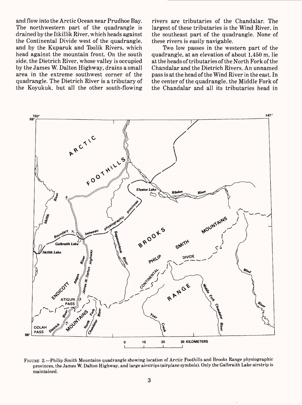and flow into the Arctic Ocean near Prudhoe Bay. The northwestern part of the quadrangle is drained by the Itkillik River, which heads against the Continental Divide west of the quadrangle, and by the Kuparuk and Toolik Rivers, which head against the mountain front. On the south side, the Dietrich River, whose valley is occupied by the James W. Dalton Highway, drains a small area in the extreme southwest corner of the quadrangle. The Dietrich River is a tributary of the Koyukuk, but all the other south-flowing rivers are tributaries of the Chandalar. The largest of these tributaries is the Wind River, in the southeast part of the quadrangle. None of these rivers is easily navigable.

Two low passes in the western part of the quadrangle, at an elevation of about 1,450 m, lie at the heads of tributaries of the North Fork of the Chandalar and the Dietrich Rivers. An unnamed pass is at the head of the Wind River in the east. In the center of the quadrangle, the Middle Fork of the Chandalar and all its tributaries head in



FIGURE 2. Philip Smith Mountains quadrangle showing location of Arctic Foothills and Brooks Range physiographic provinces, the James W. Dalton Highway, and large airstrips (airplane symbols). Only the Galbraith Lake airstrip is maintained.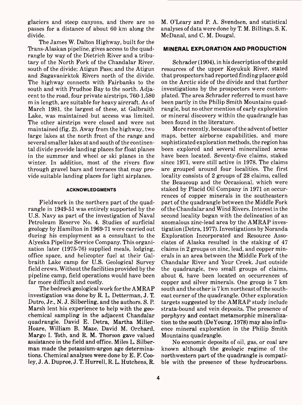glaciers and steep canyons, and there are no passes for a distance of about 60 km along the divide.

The James W. Dalton Highway, built for the Trans-Alaskan pipeline, gives access to the quadrangle by way of the Dietrich River and a tributary of the North Fork of the Chandalar River, south of the divide; Atigun Pass; and the Atigun and Sagavanirktok Rivers north of the divide. The highway connects with Fairbanks to the south and with Prudhoe Bay to the north. Adjacent to the road, four private airstrips, 760-1,580 m in length, are suitable for heavy aircraft. As of March 1981, the largest of these, at Galbraith Lake, was maintained but access was limited. The other airstrips were closed and were not maintained (fig. 2). Away from the highway, two large lakes at the north front of the range and several smaller lakes at and south of the continental divide provide landing places for float planes in the summer and wheel or ski planes in the winter. In addition, most of the rivers flow through gravel bars and terraces that may provide suitable landing places for light airplanes.

# **ACKNOWLEDGMENTS**

Fieldwork in the northern part of the quadrangle in 1949-51 was entirely supported by the U.S. Navy as part of the investigation of Naval Petroleum Reserve No. 4. Studies of surficial geology by Hamilton in 1969-71 were carried out during his employment as a consultant to the Alyeska Pipeline Service Company. This organization later (1975-76) supplied meals, lodging, office space, and helicopter fuel at their Galbraith Lake camp for U.S. Geological Survey field crews. Without the facilities provided by the pipeline camp, field operations would have been far more difficult and costly.

The bedrock geological work for the AMRAP investigation was done by R. L. Detterman, J. T. Dutro, Jr., N. J. Silberling, and the authors. S, P. Marsh lent his experience to help with the geochemical sampling in the adjacent Chandalar quadrangle. David E. Detra, Martha Miller-Hoare, William B. Maze, David M. Orchard, Margo I. Toth, and R. M. Thorson gave valued assistance in the field and office. Miles L. Silberman made the potassium-argon age determinations. Chemical analyses were done by E. F. Cooley, J. A. Dupree, J. T. Hurrell, R. L. Hutchens, R.

M. O'Leary and P. A. Svendsen, and statistical analyses of data were done by T. M. Billings, S. K. McDanal, and C. M. Dougal.

# **MINERAL EXPLORATION AND PRODUCTION**

Schrader (1904), in his description of the gold resources of the upper Koyukuk River, stated that prospectors had reported finding placer gold on the Arctic side of the divide and that further investigations by the prospectors were contemplated. The area Schrader referred to must have been partly in the Philip Smith Mountains quadrangle, but no other mention of early exploration or mineral discovery within the quadrangle has been found in the literature.

More recently, because of the advent of better maps, better airborne capabilities, and more sophisticated exploration methods, the region has been explored and several mineralized areas have been located. Seventy-five claims, staked since 1971, were still active in 1978. The claims are grouped around four localities. The first locality consists of 2 groups of 28 claims, called the Beaucoup and the Occasional, which were staked by Placid Oil Company in 1971 on occurrences of copper minerals in the southeastern part of the quadrangle between the Middle Fork of the Chandalar and Wind Rivers. Interest in the second locality began with the delineation of an anomalous zinc-lead area by the AMRAP investigation (Detra, 1977). Investigations by Noranda Exploration Incorporated and Resource Associates of Alaska resulted in the staking of 47 claims in 2 groups on zinc, lead, and copper minerals in an area between the Middle Fork of the Chandalar River and Your Creek. Just outside the quadrangle, two small groups of claims, about 6, have been located on occurrences of copper and silver minerals. One group is 7 km south and the other is 7 km northeast of the southeast corner of the quadrangle. Other exploration targets suggested by the AMRAP study include strata-bound and vein deposits. The presence of porphyry and contact metamorphic mineralization to the south (DeYoung, 1978) may also influence mineral exploration in the Philip Smith Mountains quadrangle.

No economic deposits of oil, gas, or coal are known although the geologic regime of the northwestern part of the quadrangle is compatible with the presence of these hydrocarbons.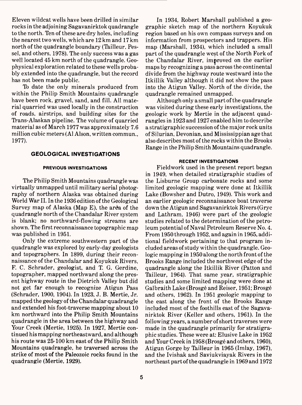Eleven wildcat wells have been drilled in similar rocks in the adjoining Sagavanirktok quadrangle to the north. Ten of these are dry holes, including the nearest two wells, which are 12 km and 17 km north of the quadrangle boundary (Tailleur, Pessel, and others, 1978). The only success was a gas well located 45 km north of the quadrangle. Geophysical exploration related to these wells probably extended into the quadrangle, but the record has not been made public.

To date the only minerals produced from within the Philip Smith Mountains quadrangle have been rock, gravel, sand, and fill. All material quarried was used locally in the construction of roads, airstrips, and building sites for the Trans-Alaskan pipeline. The volume of quarried material as of March 1977 was approximately 7.6 million cubic meters (Al Alson, written commun., 1977).

# **GEOLOGICAL INVESTIGATIONS**

## **PREVIOUS INVESTIGATIONS**

The Philip Smith Mountains quadrangle was virtually unmapped until military aerial photography of northern Alaska was obtained during World War II. In the 1936 edition of the Geological Survey map of Alaska (Map E), the area of the quadrangle north of the Chandalar River system is blank; no northward-flowing streams are shown. The first reconnaissance topographic map was published in 1951.

Only the extreme southwestern part of the quadrangle was explored by early-day geologists and topographers. In 1899, during their reconnaissance of the Chandalar and Koyukuk Rivers, F. C. Schrader, geologist, and T. G. Gerdine, topographer, mapped northward along the present highway route in the Dietrich Valley but did not get far enough to recognize Atigun Pass (Schrader, 1900, 1904). In 1923, J. B. Mertie, Jr. mapped the geology of the Chandalar quadrangle and extended his foot-traverse mapping about 10 km northward into the Philip Smith Mountains quadrangle in the area between the highway and Your Creek (Mertie, 1925). In 1927, Mertie continued his mapping northeastward, and although his route was 25-100 km east of the Philip Smith Mountains quadrangle, he traversed across the strike of most of the Paleozoic rocks found in the quadrangle (Mertie, 1929).

In 1934, Robert Marshall published a geographic sketch map of the northern Koyukuk region based on his own compass surveys and on information from prospectors and trappers. His map (Marshall, 1934), which included a small part of the quadrangle west of the North Fork of the Chandalar River, improved on the earlier maps by recognizing a pass across the continental divide from the highway route westward into the Itkillik Valley although it did not show the pass into the Atigun Valley. North of the divide, the quadrangle remained unmapped.

Although only a small part of the quadrangle was visited during these early investigations, the geologic work by Mertie in the adjacent quadrangles in 1923 and 1927 enabled him to describe a stratigraphic succession of the major rock units of Silurian, Devonian, and Mississippian age that also describes most of the rocks within the Brooks Range in the Philip Smith Mountains quadrangle.

#### **RECENT INVESTIGATIONS**

Fieldwork used in the present report began in 1949, when detailed stratigraphic studies of the Lisburne Group carbonate rocks and some limited geologic mapping were done at Itkillik Lake (Bowsher and Dutro, 1949). This work and an earlier geologic reconnaissance boat traverse down the Atigun and Sagavanirktok Rivers (Gryc and Lathram, 1946) were part of the geologic studies related to the determination of the petroleum potential of Naval Petroleum Reserve No. 4. From 1950 through 1952, and again in 1965, additional fieldwork pertaining to that program included areas of study within the quadrangle. Geologic mapping in 1950 along the north front of the Brooks Range included the northwest edge of the quadrangle along the Itkillik River (Patton and Tailleur, 1964). That same year, stratigraphic studies and some limited mapping were done at Galbraith Lake (Brosge and Reiser, 1951; Brosge and others, 1962). In 1951 geologic mapping to the east along the front of the Brooks Range included most of the foothills east of the Sagavanirktok River (Keller and others, 1961). In the following years, a number of short traverses were made in the quadrangle primarily for stratigraphic studies. These were at: Elusive Lake in 1952 and Your Creek in 1958 (Brosge and others, 1960), Atigun Gorge by Tailleur in 1965 (Imlay, 1967), and the Ivishak and Saviukviayak Rivers in the northeast part of the quadrangle in 1969 and 1972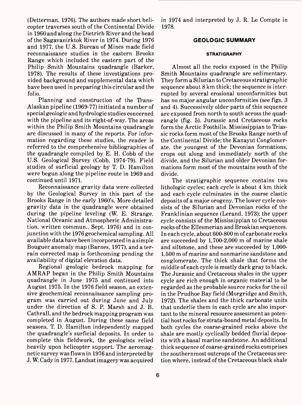(Detterman, 1976). The authors made short helicopter traverses south of the Continental Divide in 1960 and along the Dietrich River and the head of the Sagavanirktok River in 1974. During 1976 and 1977, the U.S. Bureau of Mines made field reconnaissance studies in the eastern Brooks Range which included the eastern part of the Philip Smith Mountains quadrangle (Barker, 1978). The results of these investigations provided background and supplemental data which have been used in preparing this circular and the folio.

Planning and construction of the Trans-Alaskan pipeline (1969-77) initiated a number of special geologic and hydrologic studies concerned with the pipeline and its right-of-way. The areas within the Philip Smith Mountains quadrangle are discussed in many of the reports. For information regarding these studies, the reader is referred to the comprehensive bibliographies of the quadrangle compiled by E. H. Cobb of the U.S. Geological Survey (Cobb, 1974-79). Field studies of surficial geology by T. D. Hamilton were begun along the pipeline route in 1969 and continued until 1971.

Reconnaissance gravity data were collected by the Geological Survey in this part of the Brooks Range in the early 1960's. More detailed gravity data in the quadrangle were obtained during the pipeline leveling (W. E. Strange, National Oceanic and Atmospheric Administration, written commun., Sept. 1976) and in conjunction with the 1976 geochemical sampling. All available data have been incorporated in a simple Bouguer anomaly map (Barnes, 1977), and a terrain corrected map is forthcoming pending the availability of digital elevation data.

Regional geologic bedrock mapping for AMRAP began in the Philip Smith Mountains quadrangle in June 1975 and continued into August 1975. In the 1976 field season, an extensive geochemical reconnaissance sampling program was carried out during June and July under the direction of S. P. Marsh and J. B. Cathrall, and the bedrock mapping program was completed in August. During these same field seasons, T. D. Hamilton independently mapped the quadrangle's surficial deposits. In order to complete this fieldwork, the geologists relied heavily upon helicopter support. The aeromagnetic survey was flown in 1976 and interpreted by J. W. Cady in 1977. Landsat imagery was acquired

in 1974 and interpreted by J. R. Le Compte in 1978.

# **GEOLOGIC SUMMARY**

#### **STRATIGRAPHY**

Almost all the rocks exposed in the Philip Smith Mountains quadrangle are sedimentary. They form a Silurian to Cretaceous stratigraphic sequence about 8 km thick; the sequence is interrupted by several erosional unconformities but has no major angular unconformities (see figs. 3 and 4). Successively older parts of this sequence are exposed from north to south across the quadrangle (fig. 5). Jurassic and Cretaceous rocks form the Arctic Foothills. Mississippian to Triassic rocks form most of the Brooks Range north of the Continental Divide; the Kanayut Conglomerate, the youngest of the Devonian formations, crops out along and immediately north of the divide, and the Silurian and older Devonian formations form most of the mountains south of the divide.

The stratigraphic sequence contains two lithologic cycles; each cycle is about 4 km thick and each cycle culminates in the coarse clastic deposits of a major orogeny. The lower cycle consists of the Silurian and Devonian rocks of the Franklinian sequence (Lerand, 1973); the upper cycle consists of the Mississippian to Cretaceous rocks of the Ellesmerian and Brookian sequences. In each cycle, about 600-800 m of carbonate rocks are succeeded by 1,700-2,000 m of marine shale and siltstone, and these are succeeded by 1,000- 1,500 m of marine and nonmarine sandstone and conglomerate. The thick shale that forms the middle of each cycle is mostly dark gray to black. The Jurassic and Cretaceous shales in the upper cycle are rich enough in organic material to be regarded as the probable source rocks for the oil in the Prudhoe Bay field (Morgridge and Smith, 1972). The shales and the thick carbonate units that underlie them in each cycle are also important to the mineral resource assessment as potential host rocks for strata-bound metal deposits. In both cycles the coarse-grained rocks above the shale are mostly cyclically bedded fluvial deposits with a basal marine sandstone. An additional thick sequence of coarse-grained rocks comprises the southernmost outcrops of the Cretaceous section where, instead of the Cretaceous black shale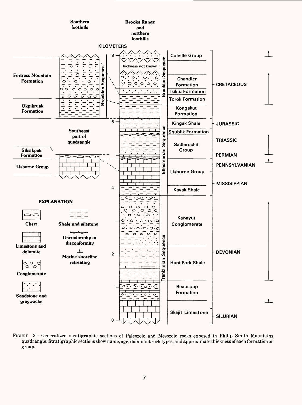

FIGURE 3. Generalized Stratigraphic sections of Paleozoic and Mesozoic rocks exposed in Philip Smith Mountains quadrangle. Stratigraphic sections show name, age, dominant rock types, and approximate thickness of each formation or group.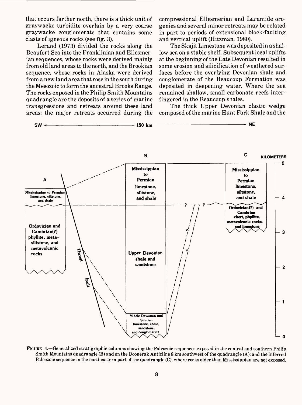that occurs farther north, there is a thick unit of graywacke turbidite overlain by a very coarse graywacke conglomerate that contains some clasts of igneous rocks (see fig. 3).

Lerand (1973) divided the rocks along the Beaufort Sea into the Franklinian and Ellesmerian sequences, whose rocks were derived mainly from old land areas to the north, and the Brookian sequence, whose rocks in Alaska were derived from a new land area that rose in the south during the Mesozoic to form the ancestral Brooks Range. The rocks exposed in the Philip Smith Mountains quadrangle are the deposits of a series of marine transgressions and retreats around these land areas; the major retreats occurred during the compressional Ellesmerian and Laramide orogenies and several minor retreats may be related in part to periods of extensional block-faulting and vertical uplift (Hitzman, 1980).

The Skajit Limestone was deposited in a shallow sea on a stable shelf. Subsequent local uplifts at the beginning of the Late Devonian resulted in some erosion and silicification of weathered surfaces before the overlying Devonian shale and conglomerate of the Beaucoup Formation was deposited in deepening water. Where the sea remained shallow, small carbonate reefs interfingered in the Beaucoup shales.

The thick Upper Devonian clastic wedge composed of the marine Hunt Fork Shale and the



FIGURE 4. Generalized stratigraphic columns showing the Paleozoic sequences exposed in the central and southern Philip Smith Mountains quadrangle (B) and on the Doonerak Anticline 8 km southwest of the quadrangle (A); and the inferred Paleozoic sequence in the northeastern part of the quadrangle (C), where rocks older than Mississippian are not exposed.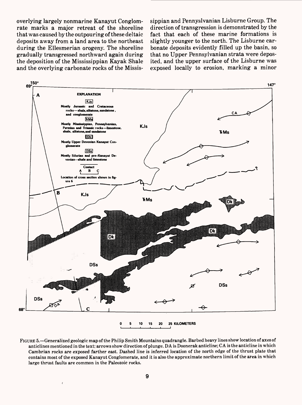overlying largely nonmarine Kanayut Conglomrate marks a major retreat of the shoreline that was caused by the outpouring of these deltaic deposits away from a land area to the northeast during the Ellesmerian orogeny. The shoreline gradually transgressed northward again during the deposition of the Mississippian Kayak Shale and the overlying carbonate rocks of the Mississippian and Pennyslvanian Lisburne Group. The direction of transgression is demonstrated by the fact that each of these marine formations is slightly younger to the north. The Lisburne carbonate deposits evidently filled up the basin, so that no Upper Pennsylvanian strata were deposited, and the upper surface of the Lisburne was exposed locally to erosion, marking a minor



FIGURE 5. Generalized geologic map of the Philip Smith Mountains quadrangle. Barbed heavy lines show location of axes of anticlines mentioned in the text; arrows show direction of plunge. DA is Doonerak anticline; CA is the anticline in which Cambrian rocks are exposed farther east. Dashed line is inferred location of the north edge of the thrust plate that contains most of the exposed Kanayut Conglomerate, and it is also the approximate northern limit of the area in which large thrust faults are common in the Paleozoic rocks.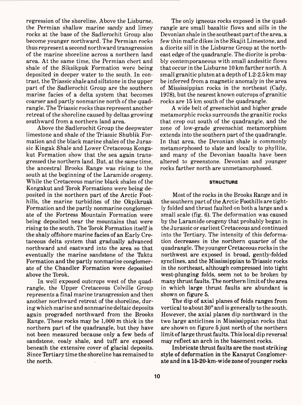regression of the shoreline. Above the Lisburne, the Permian shallow marine sandy and limey rocks at the base of the Sadlerochit Group also become younger northward. The Permian rocks thus represent a second northward transgression of the marine shoreline across a northern land area. At the same time, the Permian chert and shale of the Siksikpuk Formation were being deposited in deeper water to the south. In contrast, the Triassic shale and siltstone in the upper part of the Sadlerochit Group are the southern marine facies of a delta system that becomes coarser and partly nonmarine north of the quadrangle. The Triassic rocks thus represent another retreat of the shoreline caused by deltas growing southward from a northern land area.

Above the Sadlerochit Group the deepwater limestone and shale of the Triassic Shublik Formation and the black marine shales of the Jurassic Kingak Shale and Lower Cretaceous Kongakut Formation show that the sea again transgressed the northern land. But, at the same time, the ancestral Brooks Range was rising to the south at the beginning of the Laramide orogeny. While the Cretaceous marine black shales of the Kongakut and Torok Formations were being deposited in the northern part of the Arctic Foothills, the marine turbidites of the Okpikruak Formation and the partly nonmarine conglomerate of the Fortress Mountain Formation were being deposited near the mountains that were rising to the south. The Torok Formation itself is the shaly offshore marine facies of an Early Cretaceous delta system that gradually advanced northward and eastward into the area so that eventually the marine sandstone of the Tuktu Formation and the partly nonmarine conglomerate of the Chandler Formation were deposited above the Torok.

In well exposed outcrops west of the quadrangle, the Upper Cretaceous Colville Group represents a final marine transgression and then another northward retreat of the shoreline, during which marine and nonmarine deltaic deposits again prograded northward from the Brooks Range. These rocks may be 1,000 m thick in the northern part of the quadrangle, but they have not been measured because only a few beds of sandstone, coaly shale, and tuff are exposed beneath the extensive cover of glacial deposits. Since Tertiary time the shoreline has remained to the north.

The only igneous rocks exposed in the quadrangle are small basaltic flows and sills in the Devonian shale in the southeast part of the area, a few thin mafic dikes in the Skajit Limestone, and a diorite sill in the Lisburne Group at the northeast edge of the quadrangle. The diorite is probably contemporaneous with small andesitic flows that occur in the Lisburne 10 km farther north. A small granitic pluton at a depth of 1.2-2.5 km may be inferred from a magnetic anomaly in the area of Mississippian rocks in the northeast (Cady, 1978), but the nearest known outcrops of granitic rocks are 15 km south of the quadrangle.

A wide belt of greenschist and higher grade metamorphic rocks surrounds the granitic rocks that crop out south of the quadrangle, and the zone of low-grade greenschist metamorphism extends into the southern part of the quadrangle. In that area, the Devonian shale is commonly metamorphosed to slate and locally to phyllite, and many of the Devonian basalts have been altered to greenstone. Devonian and younger rocks farther north are unmetamorphosed.

#### **STRUCTURE**

Most of the rocks in the Brooks Range and in the southern part of the Arctic Foothills are tightly folded and thrust faulted on both a large and a small scale (fig. 6). The deformation was caused by the Laramide orogeny that probably began in the Jurassic or earliest Cretaceous and continued into the Tertiary. The intensity of this deformation decreases in the northern quarter of the quadrangle. The younger Cretaceous rocks in the northwest are exposed in broad, gently-folded synclines, and the Mississippian to Triassic rocks in the northeast, although compressed into tight west-plunging folds, seem not to be broken by many thrust faults. The northern limit of the area in which large thrust faults are abundant is shown on figure 5.

The dip of axial planes of folds ranges from vertical to about 30° and is generally to the south. However, the axial planes dip northward in the two large anticlines in Mississippian rocks that are shown on figure 5 just north of the northern limit of large thrust faults. This local dip reversal may reflect an arch in the basement rocks.

Imbricate thrust faults are the most striking style of deformation in the Kanayut Conglomerate and in a 15-20-km-wide zone of younger rocks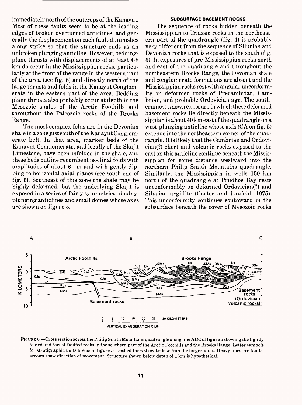immediately north of the outcrops of the Kanayut. Most of these faults seem to be at the leading edges of broken overturned anticlines, and generally the displacement on each fault diminishes along strike so that the structure ends as an unbroken plunging anticline. However, beddingplane thrusts with displacements of at least 4-8 km do occur in the Mississippian rocks, particularly at the front of the range in the western part of the area (see fig. 6) and directly north of the large thrusts and folds in the Kanayut Conglomerate in the eastern part of the area. Bedding plane thrusts also probably occur at depth in the Mesozoic shales of the Arctic Foothills and throughout the Paleozoic rocks of the Brooks Range.

The most complex folds are in the Devonian shale in a zone just south of the Kanayut Conglomerate belt. In that area, marker beds of the Kanayut Conglomerate, and locally of the Skajit Limestone, have been infolded in the shale, and these beds outline recumbent isoclinal folds with amplitudes of about 6 km and with gently dipping to horizontal axial planes (see south end of fig. 6). Southeast of this zone the shale may be highly deformed, but the underlying Skajit is exposed in a series of fairly symmetrical doublyplunging anticlines and small domes whose axes are shown on figure 5.

#### **SUBSURFACE BASEMENT ROCKS**

The sequence of rocks hidden beneath the Mississippian to Triassic rocks in the northeastern part of the quadrangle (fig. 4) is probably very different from the sequence of Silurian and Devonian rocks that is exposed to the south (fig. 3). In exposures of pre-Mississippian rocks north and east of the quadrangle and throughout the northeastern Brooks Range, the Devonian shale and conglomerate formations are absent and the Mississippian rocks rest with angular unconformity on deformed rocks of Precambrian, Cambrian, and probable Ordovician age. The southernmost-known exposure in which these deformed basement rocks lie directly beneath the Mississippian is about 40 km east of the quadrangle on a west-plunging anticline whose axis  $(CA)$  on fig. 5) extends into the northeastern corner of the quadrangle. It is likely that the Cambrian and Ordovician(?) chert and volcanic rocks exposed to the east on this anticline continue beneath the Mississippian for some distance westward into the northern Philip Smith Mountains quadrangle. Similarly, the Mississippian in wells 150 km north of the quadrangle at Prudhoe Bay rests unconformably on deformed Ordovician(?) and Silurian argillite (Carter and Laufeld, 1975). This unconformity continues southward in the subsurface beneath the cover of Mesozoic rocks



FIGURE 6. Cross section across the Philip Smith Mountains quadrangle along line ABC of figure 5 showing the tightly folded and thrust-faulted rocks in the southern part of the Arctic Foothills and the Brooks Range. Letter symbols for stratigraphic units are as in figure 5. Dashed lines show beds within the larger units. Heavy lines are faults; arrows show direction of movement. Structure shown below depth of 1 km is hypothetical.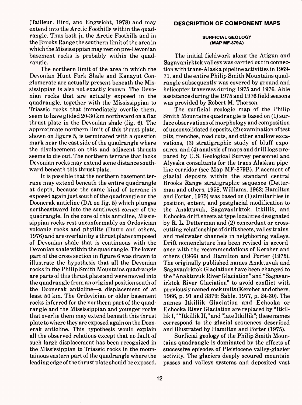(Tailleur, Bird, and Engwicht, 1978) and may extend into the Arctic Foothills within the quadrangle. Thus both jn the Arctic Foothills and in the Brooks Range the southern limit of the area in which the Mississippian may rest on pre-Devonian basement rocks is probably within the quadrangle.

The northern limit of the area in which the Devonian Hunt Fork Shale and Kanayut Conglomerate are actually present beneath the Mississippian is also not exactly known. The Devonian rocks that are actually exposed in the quadrangle, together with the Mississippian to Triassic rocks that immediately overlie them, seem to have glided 20-30 km northward on a flat thrust plate in the Devonian shale (fig. 6). The approximate northern limit of this thrust plate, shown on figure 5, is terminated with a question mark near the east side of the quadrangle where the displacement on this and adjacent thrusts seems to die out. The northern terrane that lacks Devonian rocks may extend some distance southward beneath this thrust plate.

It is possible that the northern basement terrane may extend beneath the entire quadrangle at depth, because the same kind of terrane is exposed again just south of the quadrangle on the Doonerak anticline (DA on fig. 5) which plunges northeastward into the southwest corner of the quadrangle. In the core of this anticline, Mississippian rocks rest unconformably on Ordovician volcanic rocks and phyllite (Dutro and others, 1976) and are overlain by a thrust plate composed of Devonian shale that is continuous with the Devonian shale within the quadrangle. The lower part of the cross section in figure 6 was drawn to illustrate the hypothesis that all the Devonian rocks in the Philip Smith Mountains quadrangle are parts of this thrust plate and were moved into the quadrangle from an original position south of the Doonerak anticline—a displacement of at least 50 km. The Ordovician or older basement rocks inferred for the northern part of the quadrangle and the Mississippian and younger rocks that overlie them may extend beneath this thrust plate to where they are exposed again on the Doonerak anticline. This hypothesis would explain all the observed relations except that no fault of such large displacement has been recognized in the Mississippian to Triassic rocks in the mountainous eastern part of the quadrangle where the leading edge of the thrust plate should be exposed.

#### **SURFICIAL GEOLOGY (MAP MF-879A)**

The initial fieldwork along the Atigun and Sagavanirktok valleys was carried out in connection with trans-Alaska pipeline activities in 1969- 71, and the entire Philip Smith Mountains quadrangle subsequently was covered by ground and helicopter traverses during 1975 and 1976. Able assistance during the 1975 and 1976 field seasons was provided by Robert M. Thorson.

The surficial geologic map of the Philip Smith Mountains quadrangle is based on (1) surface observations of morphology and composition of unconsolidated deposits, (2) examination of test pits, trenches, road cuts, and other shallow excavations, (3) stratigraphic study of bluff exposures, and (4) analysis of maps and drill logs prepared by U.S. Geological Survey personnel and Alyeska consultants for the trans-Alaskan pipeline corridor (see Map MF-879B). Placement of glacial deposits within the standard central Brooks Range stratigraphic sequence (Detterman and others, 1958; Williams, 1962; Hamilton and Porter, 1975) was based on (1) similarities in position, extent, and postglacial modification to the Anaktuvuk, Sagavanirktok, Itkillik, and Echooka drift sheets at type localities designated by R. L. Detterman and (2) concordant or crosscutting relationships of drift sheets, valley trains, and meltwater channels in neighboring valleys. Drift nomenclature has been revised in accordance with the recommendations of Keroher and others (1966) and Hamilton and Porter (1975). The originally published names Anaktuvuk and Sagavanirktok Glaciations have been changed to the "Anaktuvuk River Glaciation" and "Sagavanirktok River Glaciation" to avoid conflict with previously named rock units (Keroher and others, 1966, p. 91 and 3379; Sable, 1977, p. 24-30). The names Itkillik Glaciation and Echooka or Echooka River Glaciation are replaced by "Itkillik I," "Itkillik II," and "late Itkillik"; these names correspond to the glacial sequences described and illustrated by Hamilton and Porter (1975).

Surficial geology of the Philip Smith Mountains quadrangle is dominated by the effects of successive episodes of Pleistocene valley-glacier activity. The glaciers deeply scoured mountain passes and valleys systems and deposited vast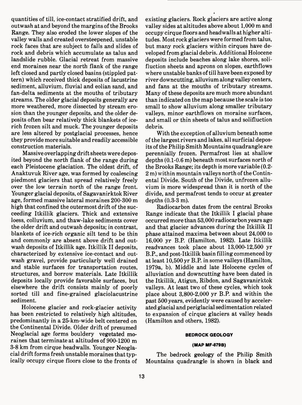quantities of till, ice-contact stratified drift, and outwash at and beyond the margins of the Brooks Range. They also eroded the lower slopes of the valley walls and created oversteepened, unstable rock faces that are subject to falls and slides of rock and debris which accumulate as talus and landslide rubble. Glacial retreat from massive end moraines near the north flank of the range left closed and partly closed basins (stippled pattern) which received thick deposits of lacustrine sediment, alluvium, fluvial and eolian sand, and fan-delta sediments at the mouths of tributary streams. The older glacial deposits generally are more weathered, more dissected by stream erosion than the younger deposits, and the older deposits often bear relatively thick blankets of icerich frozen silt and muck. The younger deposits are less altered by postglacial processes, hence they provide more suitable and readily accessible construction materials.

Massive overlapping drift sheets were deposited beyond the north flank of the range during each Pleistocene glaciation. The oldest drift, of Anaktuvuk River age, was formed by coalescing piedmont glaciers that spread relatively freely over the low terrain north of the range front. Younger glacial deposits, of Sagavanirktok River age, formed massive lateral moraines 200-300 m high that confined the outermost drift of the succeeding Itkillik glaciers. Thick and extensive loess, colluvium, and thaw-lake sediments cover the older drift and outwash deposits; in contrast, blankets of ice-rich organic silt tend to be thin and commonly are absent above drift and outwash deposits of Itkillik age. Itkillik II deposits, characterized by extensive ice-contact and outwash gravel, provide particularly well drained and stable surfaces for transportation routes, structures, and borrow materials. Late Itkillik deposits locally provide favorable surfaces, but elsewhere the drift consists mainly of poorly sorted till and fine-grained glaciolacustrine sediment.

Holocene glacier and rock-glacier activity has been restricted to relatively high altitudes, predominantly in a 25-km-wide belt centered on the Continental Divide. Older drift of presumed Neoglacial age forms bouldery vegetated moraines that terminate at altitudes of 900-1200 m 3-8 km from cirque headwalls. Younger Neoglacial drift forms fresh unstable moraines that typically occupy cirque floors close to the fronts of existing glaciers. Rock glaciers are active along valley sides at altitudes above about 1,000 m and occupy cirque floors and headwalls at higher altitudes. Most rock glaciers were formed from talus, but many rock glaciers within cirques have developed from glacial debris. Additional Holocene deposits include beaches along lake shores, solifluction sheets and aprons on slopes, earthflows where unstable banks of till have been exposed by river downcutting, alluvium along valley centers, and fans at the mouths of tributary streams. Many of these deposits are much more abundant than indicated on the map because the scale is too small to show alluvium along smaller tributary valleys, minor earthflows on moraine surfaces, and small or thin sheets of talus and solifluction debris.

With the exception of alluvium beneath some of the largest rivers and lakes, all surficial deposits of the Philip Smith Mountains quadrangle are perennially frozen. Permafrost lies at shallow depths (0.1-0.6 m) beneath most surfaces north of the Brooks Range; its depth is more variable (0.2- 2 m) within mountain valleys north of the Continental Divide. South of the Divide, unfrozen alluvium is more widespread than it is north of the divide, and permafrost tends to occur at greater depths (0.3-3 m).

Radiocarbon dates from the central Brooks Range indicate that the Itkillik I glacial phase occurred more than 53,000 radiocarbon years ago and that glacier advances during the Itkillik II phase attained maxima between about 24,000 to 16,000 yr B.P (Hamilton, 1982). Late Itkillik readvances took place about 13,000-12,500 yr B.P., and post-Itkillik basin filling commenced by at least 10,500 yr B.P. in some valleys (Hamilton, 1979a, b). Middle and late Holocene cycles of alluviation and downcutting have been dated in the Itkillik, Atigun, Ribdon, and Sagavanirktok valleys. At least two of these cycles, which took place about 3,800-2,000 yr B.P. and within the past 500 years, evidently were caused by accelerated glacial and periglacial sedimentation related to expansion of cirque glaciers at valley heads (Hamilton and others, 1982).

#### **BEDROCK GEOLOGY**

#### **(MAP MF-879B)**

The bedrock geology of the Philip Smith Mountains quadrangle is shown in black and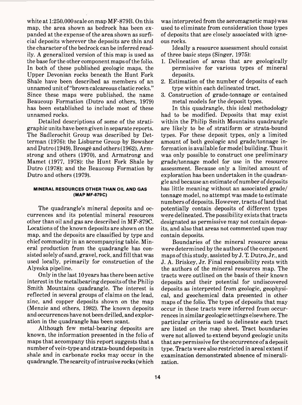white at 1:250,000 scale on map MF-879B. On this map, the area shown as bedrock has been expanded at the expense of the area shown as surficial deposits wherever the deposits are thin and the character of the bedrock can be inferred readily. A generalized version of this map is used as the base for the other component maps of the folio. In both of these published geologic maps, the Upper Devonian rocks beneath the Hunt Fork Shale have been described as members of an unnamed unit of "brown calcareous clastic rocks." Since these maps were published, the name Beaucoup Formation (Dutro and others, 1979) has been established to include most of these unnamed rocks.

Detailed descriptions of some of the stratigraphic units have been given in separate reports. The Sadlerochit Group was described by Detterman (1976); the Lisburne Group by Bowsher and Dutro (1949), Brosge and others (1962), Armstrong and others (1970), and Armstrong and Mamet (1977, 1978); the Hunt Fork Shale by Dutro (1978); and the Beaucoup Formation by Dutro and others (1979).

#### **MINERAL RESOURCES OTHER THAN OIL AND GAS (MAP MF-879C)**

The quadrangle's mineral deposits and occurrences and its potential mineral resources other than oil and gas are described in MF-879C. Locations of the known deposits are shown on the map, and the deposits are classified by type and chief commodity in an accompanying table. Mineral production from the quadrangle has consisted solely of sand, gravel, rock, and fill that was used locally, primarily for construction of the Alyeska pipeline.

Only in the last 10 years has there been active interest in the metalbearing deposits of the Philip Smith Mountains quadrangle. The interest is reflected in several groups of claims on the lead, zinc, and copper deposits shown on the map (Menzie and others, 1982). The known deposits and occurrences have not been drilled, and exploration in the quadrangle has been scant.

Although few metal-bearing deposits are known, the information presented in the folio of maps that accompany this report suggests that a number of vein-type and strata-bound deposits in shale and in carbonate rocks may occur in the quadrangle. The scarcity of intrusive rocks (which was interpreted from the aeromagnetic map) was used to eliminate from consideration those types of deposits that are closely associated with igneous rocks.

Ideally a resource assessment should consist of three basic steps (Singer, 1975):

- 1. Delineation of areas that are geologically permissive for various types of mineral deposits.
- 2. Estimation of the number of deposits of each type within each delineated tract.
- 3. Construction of grade-tonnage or contained metal models for the deposit types.

In this quadrangle, this ideal methodology had to be modified. Deposits that may exist within the Philip Smith Mountains quadrangle are likely to be of stratiform or strata-bound types. For these deposit types, only a limited amount of both geologic and grade/tonnage information is available for model building. Thus it was only possible to construct one preliminary grade/tonnage model for use in the resource assessment. Because only a limited amount of exploration has been undertaken in the quadrangle and because an estimate of number of deposits has little meaning without an associated grade/ tonnage model, no attempt was made to estimate numbers of deposits. However, tracts of land that potentially contain deposits of different types were delineated. The possibility exists that tracts designated as permissive may not contain deposits, and also that areas not commented upon may contain deposits.

Boundaries of the mineral resource areas were determined by the authors of the component maps of this study, assisted by J. T. Dutro, Jr., and J. A. Briskey, Jr. Final responsibility rests with the authors of the mineral resources map. The tracts were outlined on the basis of their known deposits and their potential for undiscovered deposits as interpreted from geologic, geophysical, and geochemical data presented in other maps of the folio. The types of deposits that may occur in these tracts were inferred from occurrences in similar geologic settings elsewhere. The particular criteria used to delineate each tract are listed on the map sheet. Tract boundaries were not allowed to extend beyond geologic units that are permissive for the occurrence of a deposit type. Tracts were also restricted in areal extent if examination demonstrated absence of mineralization.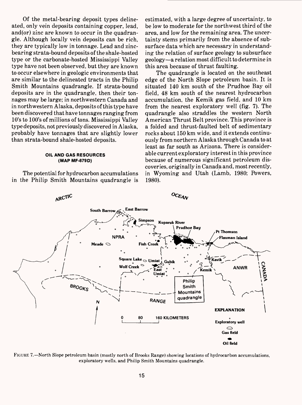Of the metal-bearing deposit types delineated, only vein deposits containing copper, lead, and(or) zinc are known to occur in the quadrangle. Although locally vein deposits can be rich, they are typically low in tonnage. Lead and zincbearing strata-bound deposits of the shale-hosted type or the carbonate-hosted Mississippi Valley type have not been observed, but they are known to occur elsewhere in geologic environments that are similar to the delineated tracts in the Philip Smith Mountains quadrangle. If strata-bound deposits are in the quadrangle, then their tonnages may be large; in northwestern Canada and in northwestern Alaska, deposits of this type have been discovered that have tonnages ranging from 10's to 100's of millions of tons. Mississippi Valley type deposits, not previously discovered in Alaska, probably have tonnages that are slightly lower than strata-bound shale-hosted deposits.

#### **OIL AND GAS RESOURCES (MAP MF-879D)**

The potential for hydrocarbon accumulations in the Philip Smith Mountains quadrangle is estimated, with a large degree of uncertainty, to be low to moderate for the northwest third of the area, and low for the remaining area. The uncertainty stems primarily from the absence of subsurface data which are necessary in understanding the relation of surface geology to subsurface geology-a relation most difficult to determine in this area because of thrust faulting.

The quadrangle is located on the southeast edge of the North Slope petroleum basin. It is situated 140 km south of the Prudhoe Bay oil field, 48 km south of the nearest hydrocarbon accumulation, the Kemik gas field, and 10 km from the nearest exploratory well (fig. 7). The quadrangle also straddles the western North American Thrust Belt province. This province is a folded and thrust-faulted belt of sedimentary rocks about 150 km wide, and it extends continuously from northern Alaska through Canada to at least as far south as Arizona. There is considerable current exploratory interest in this province because of numerous significant petroleum discoveries, originally in Canada and, most recently, in Wyoming and Utah (Lamb, 1980; Powers, 1980).



FIGURE 7.—North Slope petroleum basin (mostly north of Brooks Range) showing locations of hydrocarbon accumulations, exploratory wells, and Philip Smith Mountains quadrangle.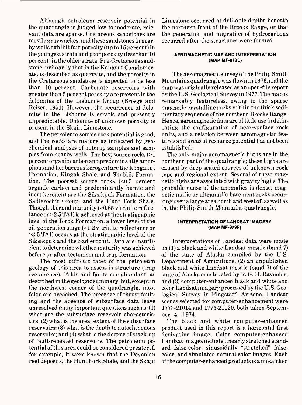Although petroleum reservoir potential in the quadrangle is judged low to moderate, relevant data are sparse. Cretaceous sandstones are mostly graywackes, and these sandstones in nearby wells exhibit fair porosity (up to 15 percent) in the youngest strata and poor porosity (less than 10 percent) in the older strata. Pre-Cretaceous sandstone, primarily that in the Kanayut Conglomerate, is described as quartzite, and the porosity in the Cretaceous sandstone is expected to be less than 10 percent. Carbonate reservoirs with greater than 5 percent porosity are present in the dolomites of the Lisburne Group (Brosge and Reiser, 1951). However, the occurrence of dolomite in the Lisburne is erratic and presently unpredictable. Dolomite of unknown porosity is present in the Skajit Limestone.

The petroleum source rock potential is good, and the rocks are mature as indicated by geochemical analyses of outcrop samples and samples from nearby wells. The best source rocks  $(>1)$ percent organic carbon and predominantly amorphous and herbaceous kerogen) are the Kongakut Formation, Kingak Shale, and Shublik Formation. The poorest source rocks (<0.5 percent organic carbon and predominantly humic and inert kerogen) are the Siksikpuk Formation, the Sadlerochit Group, and the Hunt Fork Shale. Though thermal maturity  $(>0.65$  vitrinite reflectance or >2.5 TAI) is achieved at the stratigraphic level of the Torok Formation, a lower level of the oil-generation stage (>1.2 vitrinite reflectance or >3.5 TAI) occurs at the stratigraphic level of the Siksikpuk and the Sadlerochit. Data are insufficient to determine whether maturity was achieved before or after tectonism and trap formation.

The most difficult facet of the petroleum geology of this area to assess is structure (trap occurrence). Folds and faults are abundant, as described in the geologic summary, but, except in the northwest corner of the quadrangle, most folds are breached. The presence of thrust faulting and the absence of subsurface data leave unresolved many important questions such as: (1) what are the subsurface reservoir characteristics; (2) what is the areal extent of the subsurface reservoirs; (3) what is the depth to autochthonous reservoirs; and (4) what is the degree of stack-up of fault-repeated reservoirs. The petroleum potential of this area could be considered greater if, for example, it were known that the Devonian reef deposits, the Hunt Fork Shale, and the Skajit Limestone occurred at drillable depths beneath the northern front of the Brooks Range, or that the generation and migration of hydrocarbons occurred after the structures were formed.

## **AEROMAGNETIC MAP AND INTERPRETATION (MAP MF-879E)**

The aeromagnetic survey of the Philip Smith Mountains quadrangle was flown in 1976, and the map was originally released as an open-file report by the U.S. Geological Survey in 1977. The map is remarkably featureless, owing to the sparse magnetic crystalline rocks within the thick sedimentary sequence of the northern Brooks Range. Hence, aeromagnetic data are of little use in delineating the configuration of near-surface rock units, and a relation between aeromagnetic features and areas of resource potential has not been established.

The only major aeromagnetic highs are in the northern part of the quadrangle; these highs are caused by deep-seated sources of unknown rock type and regional extent. Several of these magnetic highs are associated with gravity highs. The probable cause of the anomalies is dense, magnetic mafic or ultramafic basement rocks occurring over a large area north and west of, as well as in, the Philip Smith Mountains quadrangle.

#### **INTERPRETATION OF LANDSAT IMAGERY (MAP MF-879F)**

Interpretations of Landsat data were made on (1) a black and white Landsat mosaic (band 7) of the state of Alaska compiled by the U.S. Department of Agriculture, (2) an unpublished black and white Landsat mosaic (band 7) of the state of Alaska constructed by R. G. H. Raynolds, and (3) computer-enhanced black and white and color Landsat imagery processed by the U.S. Geological Survey in Flagstaff, Arizona. Landsat scenes selected for computer-enhancement were 1773-21014 and 1773-21020, both taken September 4, 1974.

The black and white computer-enhanced product used in this report is a horizontal first derivative image. Color computer-enhanced Landsat images include linearly stretched standard false-color, sinusoidally "stretched" falsecolor, and simulated natural color images. Each of the computer-enhanced products is a mosaicked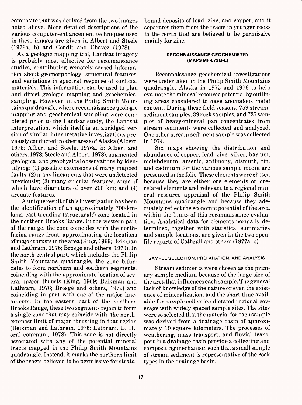composite that was derived from the two images noted above. More detailed descriptions of the various computer-enhancement techniques used in these images are given in Albert and Steele (1976a, b) and Condit and Chavez (1978).

As a geologic mapping tool, Landsat imagery is probably most effective for reconnaissance studies, contributing remotely sensed information about geomorphology, structural features, and variations in spectral response of surficial materials. This information can be used to plan and direct geologic mapping and geochemical sampling. However, in the Philip Smith Mountains quadrangle, where reconnaissance geologic mapping and geochemical sampling were completed prior to the Landsat study, the Landsat interpretation, which itself is an abridged version of similar interpretative investigations previously conducted in other areas of Alaska (Albert, 1975; Albert and Steele, 1976a, b; Albert and others, 1978; Steele and Albert, 1978), augmented geological and geophysical observations by identifying: (1) possible extensions of many mapped faults; (2) many lineaments that were undetected previously; (3) many circular features, some of which have diameters of over 200 km; and (4) arcuate features.

A unique result of this investigation has been the identification of an approximately 700-kmlong, east-trending (structural?) zone located in the northern Brooks Range. In the western part of the range, the zone coincides with the northfacing range front, approximating the locations of major thrusts in the area (King, 1969; Beikman and Lathram, 1976; Brosge and others, 1979). In the north-central part, which includes the Philip Smith Mountains quadrangle, the zone bifurcates to form northern and southern segments, coinciding with the approximate location of several major thrusts (King, 1969; Beikman and Lathram, 1976; Brosge and others, 1979) and coinciding in part with one of the major lineaments. In the eastern part of the northern Brooks Range, these two segments rejoin to form a single zone that may coincide with the northernmost limit of major thrusting in that region (Beikman and Lathram, 1976; Lathram, E. H., oral commun., 1978). This zone is not directly associated with any of the potential mineral tracts mapped in the Philip Smith Mountains quadrangle. Instead, it marks the northern limit of the tracts believed to be permissive for stratabound deposits of lead, zinc, and copper, and it separates them from the tracts in younger rocks to the north that are believed to be permissive mainly for zinc.

# **RECONNAISSANCE GEOCHEMISTRY (MAPS MF-879G-L)**

Reconnaissance geochemical investigations were undertaken in the Philip Smith Mountains quadrangle, Alaska in 1975 and 1976 to help evaluate the mineral resource potential by outlining areas considered to have anomalous metal content. During these field seasons, 759 streamsediment samples, 39 rock samples, and 737 samples of heavy-mineral pan concentrates from stream sediments were collected and analyzed. One other stream sediment sample was collected in 1974.

Six maps showing the distribution and abundance of copper, lead, zinc, silver, barium, molybdenum, arsenic, antimony, bismuth, tin, and cadmium for the various sample media are presented in the folio. These elements were chosen because they are either ore elements or orerelated elements and relevant to a regional mineral resource appraisal of the Philip Smith Mountains quadrangle and because they adequately reflect the economic potential of the area within the limits of this reconnaissance evaluation. Analytical data for elements normally determined, together with statistical summaries and sample locations, are given in the two openfile reports of Cathrall and others (1977a, b).

# SAMPLE SELECTION, PREPARATION, AND ANALYSIS

Stream sediments were chosen as the primary sample medium because of the large size of the area that influences each sample. The general lack of knowledge of the nature or even the existence of mineralization, and the short time available for sample collection dictated regional coverage with widely spaced sample sites. The sites were so selected that the material for each sample was derived from a drainage basin of approximately 10 square kilometers. The processes of weathering, mass transport, and fluvial transport in a drainage basin provide a collecting and compositing mechanism such that a small sample of stream sediment is representative of the rock types in the drainage basin.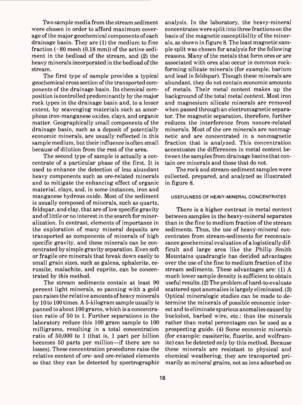Two sample media from the stream sediment were chosen in order to afford maximum coverage of the major geochemical components of each drainage basin. They are (1) the medium to fine fraction  $(-80 \text{ mesh } (0.18 \text{ mm}))$  of the active sediment in the bedload of the stream, and (2) the heavy minerals incorporated in the bedload of the stream.

The first type of sample provides a typical geochemical cross section of the transported components of the drainage basin. Its chemical composition is controlled predominantly by the major rock types in the drainage basin and, to a lesser extent, by scavenging materials such as amorphous iron-manganese oxides, clays, and organic matter. Geographically small components of the drainage basin, such as a deposit of potentially economic minerals, are usually reflected in this sample medium, but their influence is often small because of dilution from the rest of the area.

The second type of sample is actually a concentrate of a particular phase of the first. It is used to enhance the detection of less abundant heavy components such as ore-related minerals and to mitigate the enhancing effect of organic material, clays, and, in some instances, iron and manganese hydrous oxide. Most of the sediment is usually composed of minerals, such as quartz, feldspar, and clay, that are of low specific gravity and of little or no interest in the search for mineralization. In contrast, elements of importance in the exploration of many mineral deposits are transported as components of minerals of high specific gravity, and these minerals can be concentrated by simple gravity separation. Even soft or fragile ore minerals that break down easily to small grain sizes, such as galena, sphalerite, cerussite, malachite, and cuprite, can be concentrated by this method.

The stream sediments contain at least 90 percent light minerals, so panning with a gold pan raises the relative amounts of heavy minerals by 10 to 100 times. A 5-kilogram sample usually is panned to about 100 grams, which is a concentration ratio of 50 to 1. Further separations in the laboratory reduce this 100 gram sample to 100 milligrams, resulting in a total concentration ratio of 50,000 to 1 (that is, 1 part per billion becomes 50 parts per million—if there are no losses). These concentration procedures raise the relative content of ore- and ore-related elements so that they can be detected by spectrographic analysis. In the laboratory, the heavy-mineral concentrates were split into three fractions on the basis of the magnetic susceptibility of the minerals, as shown in figure 8. The least magnetic sample split was chosen for analysis for the following reasons. Many of the metals that form ores or are associated with ores also occur in common rockforming silicate minerals (for example, barium and lead in feldspar). Though these minerals are abundant, they do not contain economic amounts of metals. Their metal content makes up the background of the total metal content. Most iron and magnesium silicate minerals are removed when passed through an electromagnetic separator. The magnetic separation, therefore, further reduces the interference from nonore-related minerals. Most of the ore minerals are nonmagnetic and are concentrated in a nonmagnetic fraction that is analyzed. This concentration accentuates the differences in metal content between the samples from drainage basins that contain ore minerals and those that do not.

The rock and stream-sediment samples were collected, prepared, and analyzed as illustrated in figure 8.

## **USEFULNESS OF HEAVY-MINERAL CONCENTRATES**

There is a higher contrast in metal content between samples in the heavy-mineral separates than in the fine to medium fraction of the stream sediments. Thus, the use of heavy-mineral concentrates from stream-sediments for reconnaissance geochemical evaluation of a logistically difficult and large area like the Philip Smith Mountains quadrangle has decided advantages over the use of the fine to medium fraction of the stream sediments. These advantages are: (1) A much lower sample density is sufficient to obtain useful results. (2) The problem of hard-to-evaluate scattered spot anomalies is largely eliminated. (3) Optical mineralogic studies can be made to determine the minerals of possible economic interest and to eliminate spurious anomalies caused by buckshot, barbed wire, etc.; thus the minerals rather than metal percentages can be used as a prospecting guide. (4) Some economic minerals (for example: cassiterite, fluorite, and wolframite) can be detected only by this method. Because these minerals are resistant to physical and chemical weathering, they are transported primarily as mineral grains, not as ions adsorbed on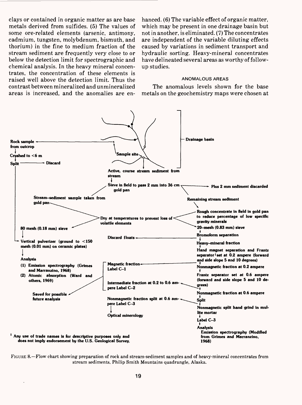clays or contained in organic matter as are base metals derived from sulfides. (5) The values of some ore-related elements (arsenic, antimony, cadmium, tungsten, molybdenum, bismuth, and thorium) in the fine to medium fraction of the stream sediment are frequently very close to or below the detection limit for spectrographic and chemical analysis. In the heavy mineral concentrates, the concentration of these elements is raised well above the detection limit. Thus the contrast between mineralized and unmineralized areas is increased, and the anomalies are enhanced. (6) The variable effect of organic matter, which may be present in one drainage basin but not in another, is eliminated. (7) The concentrates are independent of the variable diluting effects caused by variations in sediment transport and hydraulic sorting. Heavy-mineral concentrates have delineated several areas as worthy of followup studies.

# **ANOMALOUS AREAS**

The anomalous levels shown for the base metals on the geochemistry maps were chosen at



FIGURE 8. Flow chart showing preparation of rock and stream-sediment samples and of heavy-mineral concentrates from stream sediments, Philip Smith Mountains quadrangle, Alaska.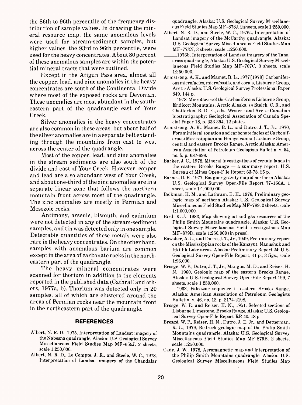the 86th to 96th percentile of the frequency distribution of sample values. In drawing the mineral resource map, the same anomalous levels were used for stream-sediment samples, but higher values, the 93rd to 96th percentile, were used for the heavy concentrates. About 80 percent of these anomalous samples are within the potential mineral tracts that were outlined.

Except in the Atigun Pass area, almost all the copper, lead, and zinc anomalies in the heavy concentrates are south of the Continental Divide where most of the exposed rocks are Devonian. These anomalies are most abundant in the southeastern part of the quadrangle east of Your Creek.

Silver anomalies in the heavy concentrates are also common in these areas, but about half of the silver anomalies are in a separate belt extending through the mountains from east to west across the center of the quadrangle.

Most of the copper, lead, and zinc anomalies in the stream sediments are also south of the divide and east of Your Creek. However, copper and lead are also abundant west of Your Creek, and about one-third of the zinc anomalies are in a separate linear zone that follows the northern mountain front across most of the quadrangle. The zinc anomalies are mostly in Permian and Mesozoic rocks.

Antimony, arsenic, bismuth, and cadmium were not detected in any of the stream-sediment samples, and tin was detected only in one sample. Detectable quantities of these metals were also rare in the heavy concentrates. On the other hand, samples with anomalous barium are common except in the area of carbonate rocks in the northeastern part of the quadrangle.

The heavy mineral concentrates were scanned for thorium in addition to the elements reported in the published data (Cathrall and others, 1977a, b). Thorium was detected only in 20 samples, all of which are clustered around the areas of Permian rocks near the mountain front in the northeastern part of the quadrangle.

## **REFERENCES**

- Albert, N. R. D.. 1975, Interpretation of Landsat imagery of the Nabesnaquadrangle, Alaska: U.S. Geological Survey Miscellaneous Field Studies Map MF-655J, 2 sheets, scale 1:250,000.
- Albert, N. R. D., Le Compte, J. R., and Steele, W. C., 1978, Interpretation of Landsat imagery of the Chandalar

quadrangle, Alaska: U.S. Geological Survey Miscellaneous Field Studies Map MF-878J, 2 sheets, scale 1:250,000.

- Albert, N. R. D., and Steele, W. C., 1976a, Interpretation of Landsat imagery of the McCarthy quadrangle, Alaska: U.S. Geological Survey Miscellaneous Field Studies Map MF-773N, 3 sheets, scale 1:250,000.
- \_\_\_1976b, Interpretation of Landsat imagery of the Tanacross quadrangle, Alaska: U.S. Geological Survey Miscellaneous Field Studies Map MF-767C, 3 sheets, scale 1:250,000.
- Armstrong, A. K., and Mamet, B. L., 1977 [1978], Carboniferous microfacies, microfossils, and corals, Lisburne Group, Arctic Alaska: U.S. Geological Survey Professional Paper 849, 144 p.
- \_\_\_1978, Microfacies of the Carboniferous Lisburne Group, Endicott Mountains, Arctic Alaska, *in* Stelck, C. R., and Chatterton, B. D. E., eds.. Western and Arctic Canadian biostratigraphy: Geological Association of Canada Special Paper 18, p. 333-394, 12 plates.
- Armstrong, A. K., Mamet, B. L., and Dutro, J. T., Jr., 1970, Foraminiferal zonation and carbonate facies of Carboniferous (Mississippian and Pennyslvanian) Lisburne Group, central and eastern Brooks Range, Arctic Alaska: American Association of Petroleum Geologists Bulletin, v. 54, no. 5, p. 687-698.
- Barker, J. C., 1978, Mineral investigations of certain lands in the eastern Brooks Range  $-$  a summary report: U.S. Bureau of Mines Open-File Report 63-78, 25 p.
- Barnes, D. F., 1977, Bouguer gravity map of northern Alaska: U.S. Geological Survey Open-File Report 77-166A, 1 sheet, scale 1:1,000,000.
- Beikman, H. M., and Lathram, E. H., 1976, Preliminary geologic map of northern Alaska: U.S. Geological Survey Miscellaneous Field Studies Map MF-789, 2sheets, scale 1:1,000,000.
- Bird, K. J., 1983, Map showing oil and gas resources of the Philip Smith Mountains quadrangle, Alaska: U.S. Geological Survey Miscellaneous Field Investigations Map MF-879D, scale 1:250,000 (in press).
- Bowsher, A. L., and Dutro, J. T., Jr., 1949, Preliminary report on the Mississippian rocks of the Kanayut, Nanushuk and Itkillik Lake areas, Alaska: Preliminary Report 24: U.S. Geological Survey Open-File Report, 41 p., 3 figs., scale 1:96,000.
- Brosge, W. P., Dutro, J. T., Jr., Mangus, M. D., and Reiser, H. N., 1960, Geologic map of the eastern Brooks Range, Alaska: U.S. Geological Survey Open-File Report 199, 7 sheets, scale 1:250,000.
- 1962, Paleozoic sequence in eastern Brooks Range, Alaska: American Association of Petroleum Geologists Bulletin, v. 46, no. 12, p. 2174-2198.
- Brosge, W. P., and Reiser, H. N., 1951, Selected sections of Lisburne Limestone, Brooks Range, Alaska: U.S. Geological Survey Open-File Report RR 40, 18 p.
- Brosge, W. P., Reiser, H. N., Dutro, J. T., Jr., and Detterman, R. L., 1979, Bedrock geologic map of the Philip Smith Mountains quadrangle, Alaska: U.S. Geological Survey Miscellaneous Field Studies Map MF-879B, 2 sheets, scale 1:250,000.
- Cady, J. W., 1978, Aeromagnetic map and interpretation of the Philip Smith Mountains quadrangle, Alaska: U.S. Geological Survey Miscellaneous Field Studies Map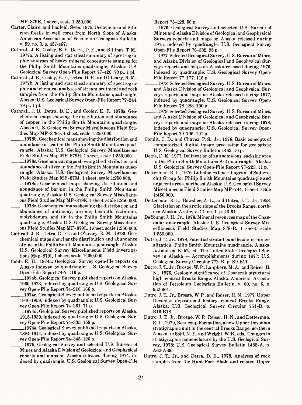MF-879E, 1 sheet, scale 1:250,000.

- Carter, Claire, and Laufeld, Sven, 1975, Ordovician and Silurian fossils in well cores from North Slope of Alaska: American Association of Petroleum Geologists Bulletin, v. 59, no. 3, p. 457-467.
- Cathrall, J. B., Cooley, E. F., Detra, D. E., and Billings, T. M., 1977a, A listing and statistical summary of spectrographic analyses of heavy mineral concentrate samples for the Philip Smith Mountains quadrangle, Alaska: U.S. Geological Survey Open-File Report 77-426, 70 p., 1 pi.
- Cathrall, J. B., Cooley, E. F, Detra, D. E., and O'Leary, R. M., 1977b, A listing and statistical summary of spectrographic and chemical analyses of stream-sediment and rock samples from the Philip Smith Mountains quadrangle, Alaska: U.S. Geological Survey Open-File Report 77-244, 79 p., 1 pi.
- Cathrall, J. B., Detra, D. E., and Cooley, E. F., 1978a, Geochemical maps showing the distribution and abundance of copper in the Philip Smith Mountains quadrangle, Alaska: U.S. Geological Survey Miscellaneous Field Studies Map MF-879G, 1 sheet, scale 1:250,000.
	- \_\_\_1978b, Geochemical maps showing the distribution and abundance of lead in the Philip Smith Mountains quadrangle, Alaska: U.S. Geological Survey Miscellaneous Field Studies Map MF-879H, 1 sheet, scale 1:250,000.
- 1978c, Geochemical maps showing the distribution and abundance of silver in the Philip Smith Mountains quadrangle, Alaska: U.S. Geological Survey Miscellaneous Field Studies Map MF-879J, 1 sheet, scale 1:250,000.
- \_\_\_1978d, Geochemical maps showing distribution and abundance of barium in the Philip Smith Mountains quadrangle, Alaska: U.S. Geological Survey Miscellaneous Field Studies Map MF-879K, 1 sheet, scale 1:250,000.
- \_1978e, Geochemical maps showing the distribution and abundance of antimony, arsenic, bismuth, cadmium, molybdenum, and tin in the Philip Smith Mountains quadrangle, Alaska: U.S. Geological Survey Miscellaneous Field Studies Map MF-879L, 1 sheet, scale 1:250,000.
- Cathrall, J. B., Detra, D. E., and O'Leary, R. M., 1978f, Geochemical maps showing the distribution and abundance of zinc in the Philip Smith Mountains quadrangle, Alaska: U.S. Geological Survey Miscellaneous Field Investigations Map-8791, 1 sheet, scale 1:250,000.
- Cobb, E. H., 1974a, Geological Survey open-file reports on Alaska indexed by quadrangle: U.S. Geological Survey Open-File Report 74-7, 116 p.
	- 1974b, Geological Survey published reports on Alaska, 1960-1973, indexed by quadrangle: U.S. Geological Survey Open-File Report 74-210, 166 p.
	- \_\_\_\_\_1974c, Geological Survey published reports on Alaska, 1940-1959, indexed by quadrangle: U.S. Geological Survey Open-File Report 74-261, 71 p.
	- \_\_\_1974d, Geological Survey published reports on Alaska, 1915-1939, indexed by quadrangle: U.S. Geological Survey Open-File Report 74-335, 159 p.
	- \_\_\_1974e, Geological Survey published reports on Alaska, 1884-1914, indexed by quadrangle: U.S. Geological Survey Open-File Report 74-345, 126 p.
	- \_\_\_\_\_1975, Geological Survey and selected U.S. Bureau of Mines and Alaska Division of Geological and Geophysical reports and maps on Alaska released during 1974, indexed by quadrangle: U.S. Geological Survey Open-File

Report 75-128, 50 p.

- \_1976, Geological Survey and selected U.S. Bureau of Mines and Alaska Division of Geological and Geophysical Surveys reports and maps on Alaska released during 1975, indexed by quadrangle: U.S. Geological Survey Open-File Report 76-332, 95 p.
- \_1977, Selected Geological Survey, U.S. Bureau of Mines, and Alaska Division of Geological and Geophysical Surveys reports and maps on Alaska released during 1976, indexed by quadrangle: U.S. Geological Survey Open-File Report 77-177, 115 p.
- \_1978, Selected Geological Survey, U.S. Bureau of Mines, and Alaska Division of Geological and Geophysical Surveys reports and maps on Alaska released during 1977, indexed by quadrangle: U.S. Geological Survey Open-File Report 78-283, 100 p.
- -1979, Selected Geological Survey, U.S. Bureau of Mines, and Alaska Division of Geological and Geophysical Surveys reports and maps on Alaska released during 1978, indexed by quadrangle: U.S. Geological Survey Open-File Report 79-706, 191 p.
- Condit, C. D., and Chavez, P. S., Jr., 1978, Basic concepts of computerized digital image processing for geologists: U.S. Geological Survey Bulletin 1462, 16 p.
- Detra, D. E., 1977, Delineation of an anomalous lead-zinc area in the Philip Smith Mountains A-2 quadrangle, Alaska: U.S. Geological Survey Open-File Report 77-223, 11 p.
- Detterman, R. L., 1976, Lithofacies fence diagram of Sadlerochit Group for Philip Smith Mountains quadrangle and adjacent areas, northeast Alaska: U.S. Geological Survey Miscellaneous Field Studies Map MF-744,1 sheet, scale 1:450,000.
- Detterman, R. L., Bowsher, A. L., and Dutro, J. T., Jr., 1958, Glaciation on the arctic slope of the Brooks Range, northern Alaska: Arctic, v. 11, no. 1, p. 43-61.
- De Young, J. H., Jr., 1978, Mineral resources map of the Chandalar quadrangle, Alaska: U.S. Geological Survey Miscellaneous Field Studies Map 878-B, 1 sheet, scale 1:250,000.
- Dutro, J. T., Jr., 1978, Potential strata-bound lead-zinc mineralization, Philip Smith Mountains quadrangle, Alaska, *in* Johnson, K. M., ed., The United States Geological Survey in Alaska  $-$  Accomplishments during 1977: U.S. Geological Survey Circular 772-B, p. B9-B11.
- Dutro, J. T., Jr., Brosge, W. P., Lanphere, M. A., and Reiser, H. N., 1976, Geologic significance of Doonerak structural high, central Brooks Range, Alaska: American Association of Petroleum Geologists Bulletin, v. 60, no. 6, p. 952-961.
- Dutro, J. T., Jr., Brosge, W. P., and Reiser, H. N., 1977, Upper Devonian depositional history, central Brooks Range, Alaska: U.S. Geological Survey Circular 751-B, p. B16-B18.
- Dutro, J. T., Jr., Brosge, W. P., Reiser, H. N., and Detterman, R. L., 1979, Beaucoup Formation, anew Upper Devonian stratigraphic unit in the central Brooks Range, northern Alaska, *in* Sohl, N. F., and Wright, W. B., eds., Changes in stratigraphic nomenclature by the U.S. Geological Survey, 1978: U.S. Geological Survey Bulletin 1482-A, p. A62-A69.
- Dutro, J. T., Jr., and Detra, D. E., 1978, Analyses of rock samples from the Hunt Fork Shale and related Upper